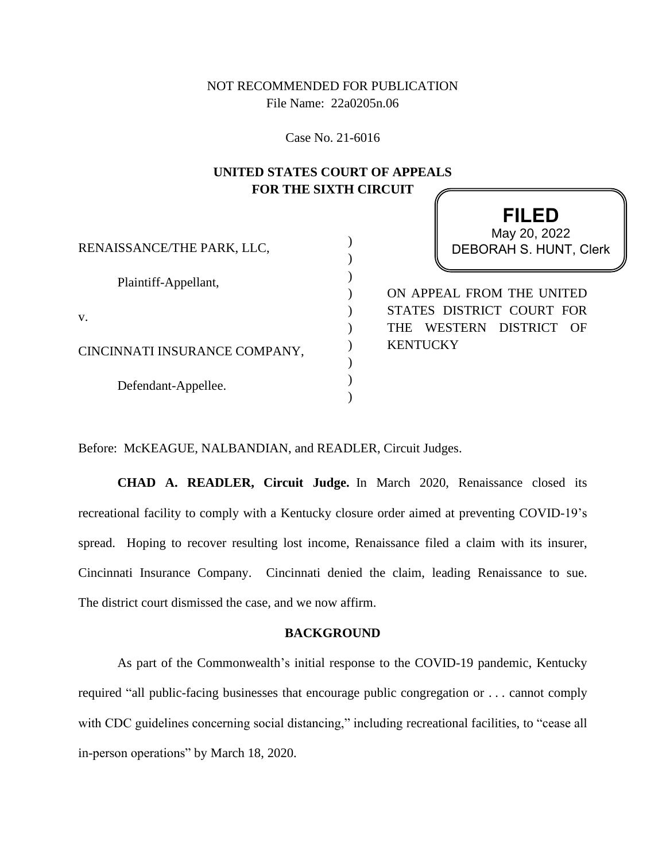NOT RECOMMENDED FOR PUBLICATION File Name: 22a0205n.06

Case No. 21-6016

## **UNITED STATES COURT OF APPEALS FOR THE SIXTH CIRCUIT**

**FILED**

|                               | ┌╷∟∟∪                                          |
|-------------------------------|------------------------------------------------|
|                               | May 20, 2022                                   |
| RENAISSANCE/THE PARK, LLC,    | <b>DEBORAH S. HUNT, Clerk</b>                  |
|                               |                                                |
| Plaintiff-Appellant,          |                                                |
|                               | ON APPEAL FROM THE UNITED                      |
| V.                            | STATES DISTRICT COURT FOR                      |
|                               | WESTERN<br>DISTRICT<br>$\overline{OR}$<br>THE. |
| CINCINNATI INSURANCE COMPANY, | <b>KENTUCKY</b>                                |
|                               |                                                |
| Defendant-Appellee.           |                                                |
|                               |                                                |
|                               |                                                |

Before: McKEAGUE, NALBANDIAN, and READLER, Circuit Judges.

**CHAD A. READLER, Circuit Judge.** In March 2020, Renaissance closed its recreational facility to comply with a Kentucky closure order aimed at preventing COVID-19's spread. Hoping to recover resulting lost income, Renaissance filed a claim with its insurer, Cincinnati Insurance Company. Cincinnati denied the claim, leading Renaissance to sue. The district court dismissed the case, and we now affirm.

## **BACKGROUND**

As part of the Commonwealth's initial response to the COVID-19 pandemic, Kentucky required "all public-facing businesses that encourage public congregation or . . . cannot comply with CDC guidelines concerning social distancing," including recreational facilities, to "cease all in-person operations" by March 18, 2020.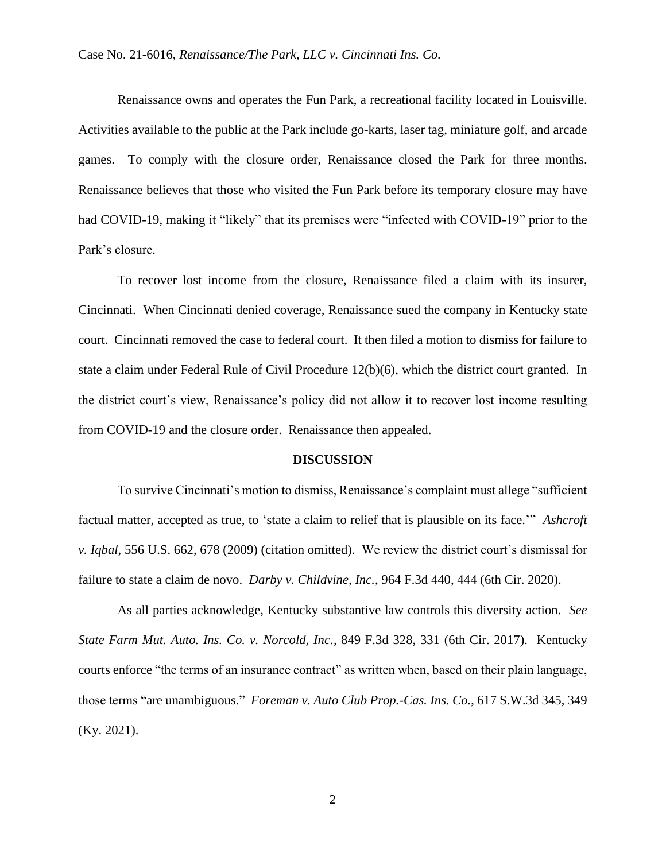Renaissance owns and operates the Fun Park, a recreational facility located in Louisville. Activities available to the public at the Park include go-karts, laser tag, miniature golf, and arcade games. To comply with the closure order, Renaissance closed the Park for three months. Renaissance believes that those who visited the Fun Park before its temporary closure may have had COVID-19, making it "likely" that its premises were "infected with COVID-19" prior to the Park's closure.

To recover lost income from the closure, Renaissance filed a claim with its insurer, Cincinnati. When Cincinnati denied coverage, Renaissance sued the company in Kentucky state court. Cincinnati removed the case to federal court. It then filed a motion to dismiss for failure to state a claim under Federal Rule of Civil Procedure 12(b)(6), which the district court granted. In the district court's view, Renaissance's policy did not allow it to recover lost income resulting from COVID-19 and the closure order. Renaissance then appealed.

## **DISCUSSION**

To survive Cincinnati's motion to dismiss, Renaissance's complaint must allege "sufficient factual matter, accepted as true, to 'state a claim to relief that is plausible on its face.'" *Ashcroft v. Iqbal*, 556 U.S. 662, 678 (2009) (citation omitted). We review the district court's dismissal for failure to state a claim de novo. *Darby v. Childvine, Inc.*, 964 F.3d 440, 444 (6th Cir. 2020).

As all parties acknowledge, Kentucky substantive law controls this diversity action. *See State Farm Mut. Auto. Ins. Co. v. Norcold, Inc.*, 849 F.3d 328, 331 (6th Cir. 2017). Kentucky courts enforce "the terms of an insurance contract" as written when, based on their plain language, those terms "are unambiguous." *Foreman v. Auto Club Prop.-Cas. Ins. Co.*, 617 S.W.3d 345, 349 (Ky. 2021).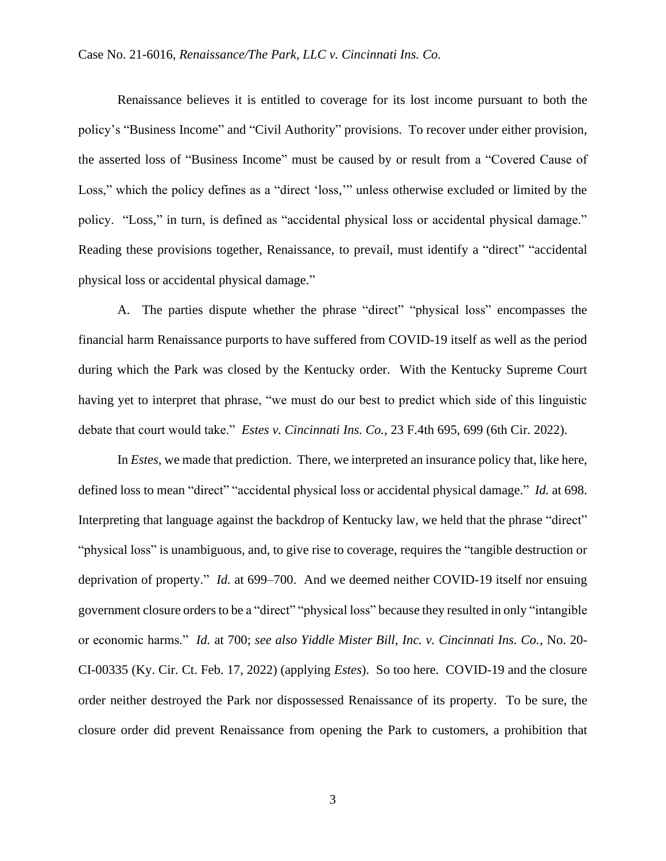Renaissance believes it is entitled to coverage for its lost income pursuant to both the policy's "Business Income" and "Civil Authority" provisions. To recover under either provision, the asserted loss of "Business Income" must be caused by or result from a "Covered Cause of Loss," which the policy defines as a "direct 'loss,'" unless otherwise excluded or limited by the policy. "Loss," in turn, is defined as "accidental physical loss or accidental physical damage." Reading these provisions together, Renaissance, to prevail, must identify a "direct" "accidental physical loss or accidental physical damage."

A. The parties dispute whether the phrase "direct" "physical loss" encompasses the financial harm Renaissance purports to have suffered from COVID-19 itself as well as the period during which the Park was closed by the Kentucky order. With the Kentucky Supreme Court having yet to interpret that phrase, "we must do our best to predict which side of this linguistic debate that court would take." *Estes v. Cincinnati Ins. Co.*, 23 F.4th 695, 699 (6th Cir. 2022).

In *Estes*, we made that prediction. There, we interpreted an insurance policy that, like here, defined loss to mean "direct" "accidental physical loss or accidental physical damage." *Id.* at 698. Interpreting that language against the backdrop of Kentucky law, we held that the phrase "direct" "physical loss" is unambiguous, and, to give rise to coverage, requires the "tangible destruction or deprivation of property." *Id.* at 699–700. And we deemed neither COVID-19 itself nor ensuing government closure orders to be a "direct" "physical loss" because they resulted in only "intangible or economic harms." *Id.* at 700; *see also Yiddle Mister Bill, Inc. v. Cincinnati Ins. Co.*, No. 20- CI-00335 (Ky. Cir. Ct. Feb. 17, 2022) (applying *Estes*). So too here. COVID-19 and the closure order neither destroyed the Park nor dispossessed Renaissance of its property. To be sure, the closure order did prevent Renaissance from opening the Park to customers, a prohibition that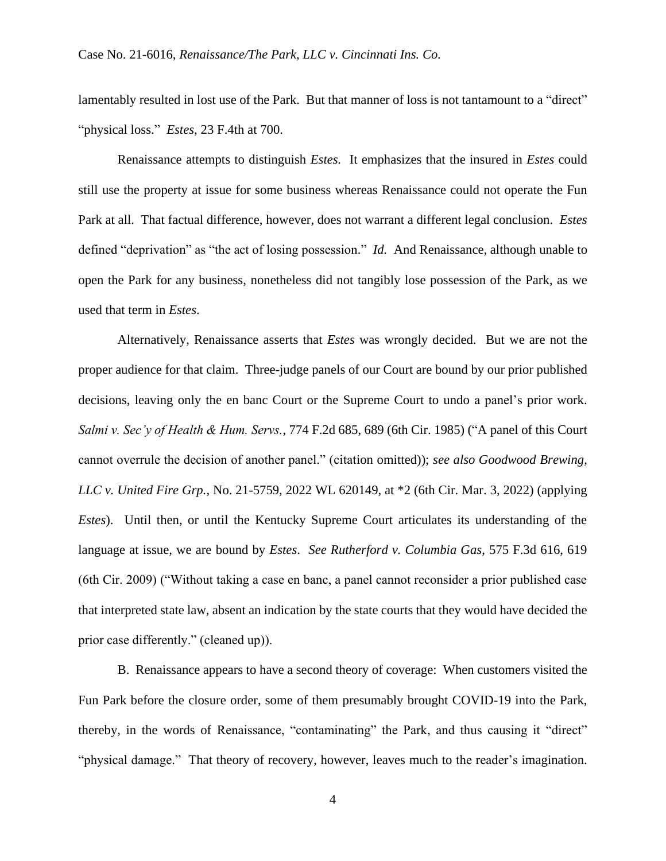lamentably resulted in lost use of the Park. But that manner of loss is not tantamount to a "direct" "physical loss." *Estes*, 23 F.4th at 700.

Renaissance attempts to distinguish *Estes.* It emphasizes that the insured in *Estes* could still use the property at issue for some business whereas Renaissance could not operate the Fun Park at all. That factual difference, however, does not warrant a different legal conclusion. *Estes*  defined "deprivation" as "the act of losing possession." *Id.* And Renaissance, although unable to open the Park for any business, nonetheless did not tangibly lose possession of the Park, as we used that term in *Estes*.

Alternatively, Renaissance asserts that *Estes* was wrongly decided. But we are not the proper audience for that claim. Three-judge panels of our Court are bound by our prior published decisions, leaving only the en banc Court or the Supreme Court to undo a panel's prior work. *Salmi v. Sec'y of Health & Hum. Servs.*, 774 F.2d 685, 689 (6th Cir. 1985) ("A panel of this Court cannot overrule the decision of another panel." (citation omitted)); *see also Goodwood Brewing, LLC v. United Fire Grp.*, No. 21-5759, 2022 WL 620149, at \*2 (6th Cir. Mar. 3, 2022) (applying *Estes*). Until then, or until the Kentucky Supreme Court articulates its understanding of the language at issue, we are bound by *Estes*. *See Rutherford v. Columbia Gas*, 575 F.3d 616, 619 (6th Cir. 2009) ("Without taking a case en banc, a panel cannot reconsider a prior published case that interpreted state law, absent an indication by the state courts that they would have decided the prior case differently." (cleaned up)).

B. Renaissance appears to have a second theory of coverage: When customers visited the Fun Park before the closure order, some of them presumably brought COVID-19 into the Park, thereby, in the words of Renaissance, "contaminating" the Park, and thus causing it "direct" "physical damage." That theory of recovery, however, leaves much to the reader's imagination.